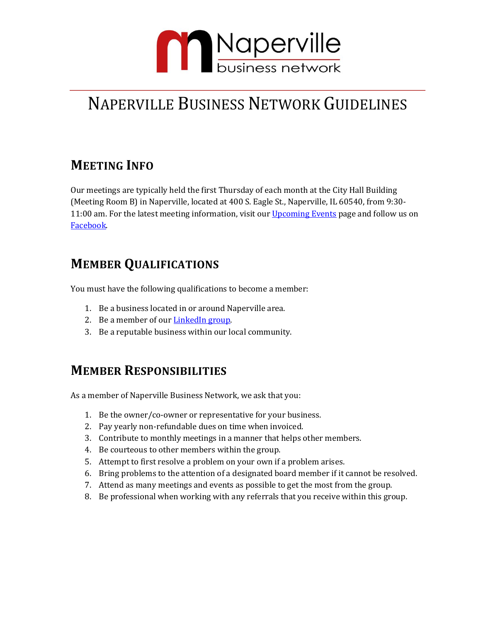

# NAPERVILLE BUSINESS NETWORK GUIDELINES

### **MEETING INFO**

Our meetings are typically held the first Thursday of each month at the City Hall Building (Meeting Room B) in Naperville, located at 400 S. Eagle St., Naperville, IL 60540, from 9:30- 11:00 am. For the latest meeting information, visit our [Upcoming Events](https://www.naperbiz.net/events/) page and follow us on [Facebook.](https://www.facebook.com/NaperBizNetwork/)

## **MEMBER QUALIFICATIONS**

You must have the following qualifications to become a member:

- 1. Be a business located in or around Naperville area.
- 2. Be a member of our **LinkedIn group**.
- 3. Be a reputable business within our local community.

#### **MEMBER RESPONSIBILITIES**

As a member of Naperville Business Network, we ask that you:

- 1. Be the owner/co-owner or representative for your business.
- 2. Pay yearly non-refundable dues on time when invoiced.
- 3. Contribute to monthly meetings in a manner that helps other members.
- 4. Be courteous to other members within the group.
- 5. Attempt to first resolve a problem on your own if a problem arises.
- 6. Bring problems to the attention of a designated board member if it cannot be resolved.
- 7. Attend as many meetings and events as possible to get the most from the group.
- 8. Be professional when working with any referrals that you receive within this group.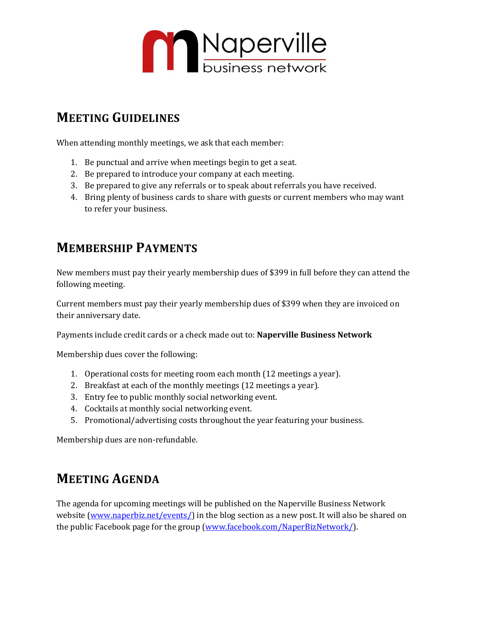

#### **MEETING GUIDELINES**

When attending monthly meetings, we ask that each member:

- 1. Be punctual and arrive when meetings begin to get a seat.
- 2. Be prepared to introduce your company at each meeting.
- 3. Be prepared to give any referrals or to speak about referrals you have received.
- 4. Bring plenty of business cards to share with guests or current members who may want to refer your business.

#### **MEMBERSHIP PAYMENTS**

New members must pay their yearly membership dues of \$399 in full before they can attend the following meeting.

Current members must pay their yearly membership dues of \$399 when they are invoiced on their anniversary date.

Payments include credit cards or a check made out to: **Naperville Business Network**

Membership dues cover the following:

- 1. Operational costs for meeting room each month (12 meetings a year).
- 2. Breakfast at each of the monthly meetings (12 meetings a year).
- 3. Entry fee to public monthly social networking event.
- 4. Cocktails at monthly social networking event.
- 5. Promotional/advertising costs throughout the year featuring your business.

Membership dues are non-refundable.

#### **MEETING AGENDA**

The agenda for upcoming meetings will be published on the Naperville Business Network website [\(www.naperbiz.net/events/\)](http://www.naperbiz.net/events/) in the blog section as a new post. It will also be shared on the public Facebook page for the group [\(www.facebook.com/NaperBizNetwork/\)](http://www.facebook.com/NaperBizNetwork/).